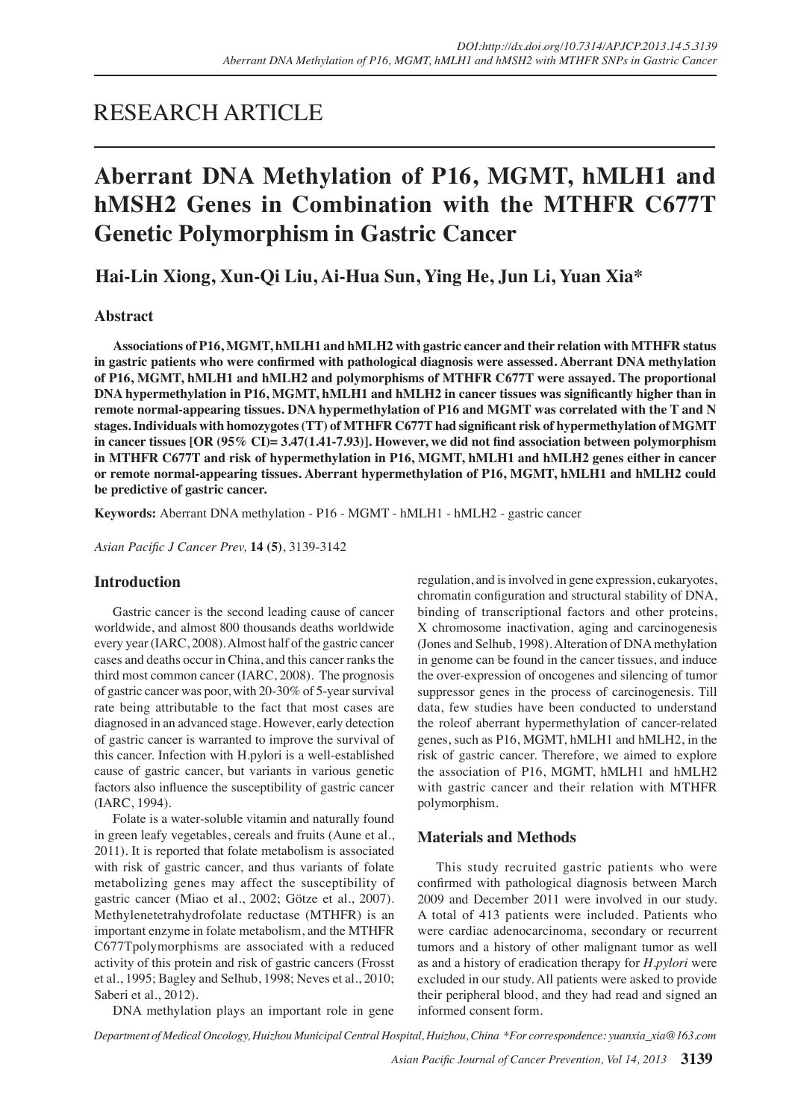## RESEARCH ARTICLE

# **Aberrant DNA Methylation of P16, MGMT, hMLH1 and hMSH2 Genes in Combination with the MTHFR C677T Genetic Polymorphism in Gastric Cancer**

**Hai-Lin Xiong, Xun-Qi Liu, Ai-Hua Sun, Ying He, Jun Li, Yuan Xia\***

## **Abstract**

**Associations of P16, MGMT, hMLH1 and hMLH2 with gastric cancer and their relation with MTHFR status in gastric patients who were confirmed with pathological diagnosis were assessed. Aberrant DNA methylation of P16, MGMT, hMLH1 and hMLH2 and polymorphisms of MTHFR C677T were assayed. The proportional DNA hypermethylation in P16, MGMT, hMLH1 and hMLH2 in cancer tissues was significantly higher than in remote normal-appearing tissues. DNA hypermethylation of P16 and MGMT was correlated with the T and N stages. Individuals with homozygotes (TT) of MTHFR C677T had significant risk of hypermethylation of MGMT in cancer tissues [OR (95% CI)= 3.47(1.41-7.93)]. However, we did not find association between polymorphism in MTHFR C677T and risk of hypermethylation in P16, MGMT, hMLH1 and hMLH2 genes either in cancer or remote normal-appearing tissues. Aberrant hypermethylation of P16, MGMT, hMLH1 and hMLH2 could be predictive of gastric cancer.**

**Keywords:** Aberrant DNA methylation - P16 - MGMT - hMLH1 - hMLH2 - gastric cancer

*Asian Pacific J Cancer Prev,* **14 (5)**, 3139-3142

## **Introduction**

Gastric cancer is the second leading cause of cancer worldwide, and almost 800 thousands deaths worldwide every year (IARC, 2008). Almost half of the gastric cancer cases and deaths occur in China, and this cancer ranks the third most common cancer (IARC, 2008). The prognosis of gastric cancer was poor, with 20-30% of 5-year survival rate being attributable to the fact that most cases are diagnosed in an advanced stage. However, early detection of gastric cancer is warranted to improve the survival of this cancer. Infection with H.pylori is a well-established cause of gastric cancer, but variants in various genetic factors also influence the susceptibility of gastric cancer (IARC, 1994).

Folate is a water-soluble vitamin and naturally found in green leafy vegetables, cereals and fruits (Aune et al., 2011). It is reported that folate metabolism is associated with risk of gastric cancer, and thus variants of folate metabolizing genes may affect the susceptibility of gastric cancer (Miao et al., 2002; Götze et al., 2007). Methylenetetrahydrofolate reductase (MTHFR) is an important enzyme in folate metabolism, and the MTHFR C677Tpolymorphisms are associated with a reduced activity of this protein and risk of gastric cancers (Frosst et al., 1995; Bagley and Selhub, 1998; Neves et al., 2010; Saberi et al., 2012).

regulation, and is involved in gene expression, eukaryotes, chromatin configuration and structural stability of DNA, binding of transcriptional factors and other proteins, X chromosome inactivation, aging and carcinogenesis (Jones and Selhub, 1998). Alteration of DNA methylation in genome can be found in the cancer tissues, and induce the over-expression of oncogenes and silencing of tumor suppressor genes in the process of carcinogenesis. Till data, few studies have been conducted to understand the roleof aberrant hypermethylation of cancer-related genes, such as P16, MGMT, hMLH1 and hMLH2, in the risk of gastric cancer. Therefore, we aimed to explore the association of P16, MGMT, hMLH1 and hMLH2 with gastric cancer and their relation with MTHFR polymorphism.

## **Materials and Methods**

This study recruited gastric patients who were confirmed with pathological diagnosis between March 2009 and December 2011 were involved in our study. A total of 413 patients were included. Patients who were cardiac adenocarcinoma, secondary or recurrent tumors and a history of other malignant tumor as well as and a history of eradication therapy for *H.pylori* were excluded in our study. All patients were asked to provide their peripheral blood, and they had read and signed an informed consent form.

DNA methylation plays an important role in gene

*Department of Medical Oncology, Huizhou Municipal Central Hospital, Huizhou, China \*For correspondence: yuanxia\_xia@163.com*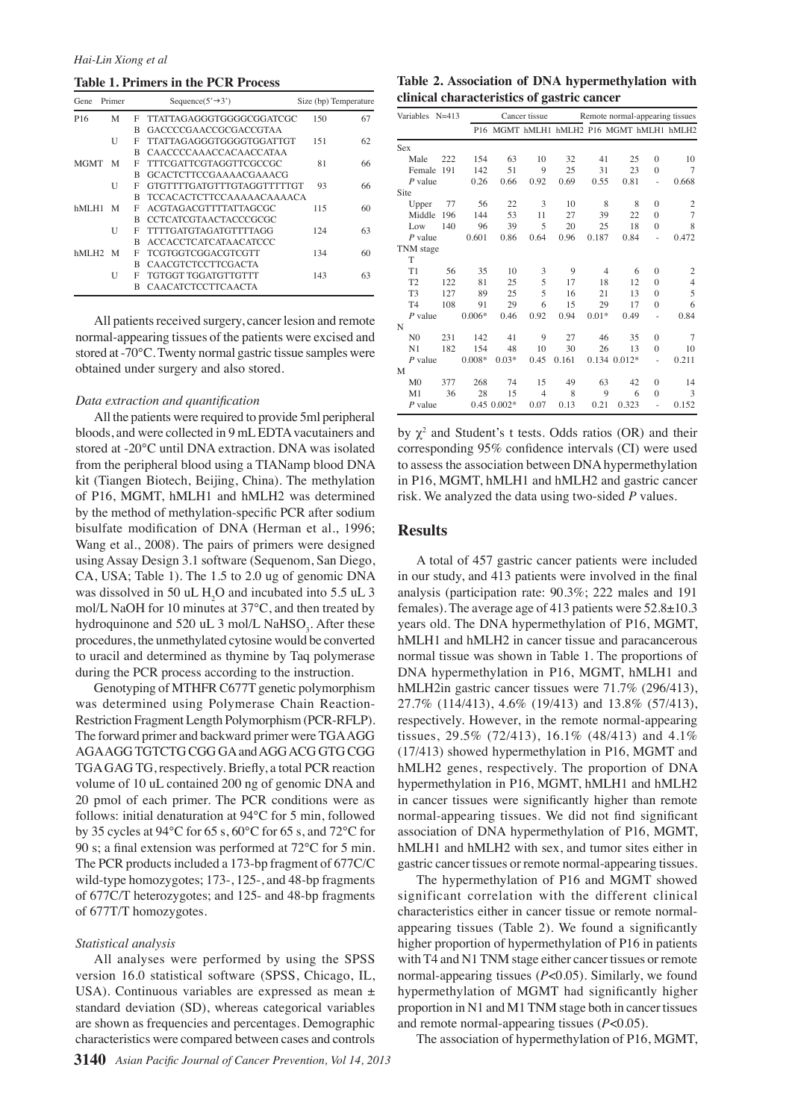#### **Table 1. Primers in the PCR Process**

| Primer<br>Gene      |   |   | Sequence( $5' \rightarrow 3'$ ) | Size (bp) Temperature |    |  |
|---------------------|---|---|---------------------------------|-----------------------|----|--|
| P <sub>16</sub>     | М | F | TTATTAGAGGGTGGGGCGGATCGC        | 150                   | 67 |  |
|                     |   | R | GACCCCGAACCGCGACCGTAA           |                       |    |  |
|                     | U | F | TTATTAGAGGGTGGGGTGGATTGT        | 151                   | 62 |  |
|                     |   | R | CAACCCCAAACCACAACCATAA          |                       |    |  |
| <b>MGMT</b>         | M | F | TTTCGATTCGTAGGTTCGCCGC          | 81                    | 66 |  |
|                     |   | R | GCACTCTTCCGAAAACGAAACG          |                       |    |  |
|                     | U | F | GTGTTTTGATGTTTGTAGGTTTTTGT      | 93                    | 66 |  |
|                     |   | R | TCCACACTCTTCCAAAAACAAAACA       |                       |    |  |
| hMLH1               | M | F | ACGTAGACGTTTTATTAGCGC           | 115                   | 60 |  |
|                     |   | R | CCTCATCGTAACTACCCGCGC           |                       |    |  |
|                     | U | F | TTTTGATGTAGATGTTTTAGG           | 124                   | 63 |  |
|                     |   | R | ACCACCTCATCATAACATCCC           |                       |    |  |
| hMLH <sub>2</sub> M |   | F | TCGTGGTCGGACGTCGTT              | 134                   | 60 |  |
|                     |   | R | CAACGTCTCCTTCGACTA              |                       |    |  |
|                     | U | F | TGTGGT TGGATGTTGTTT             | 143                   | 63 |  |
|                     |   | R | <b>CAACATCTCCTTCAACTA</b>       |                       |    |  |

All patients received surgery, cancer lesion and remote normal-appearing tissues of the patients were excised and stored at -70°C. Twenty normal gastric tissue samples were obtained under surgery and also stored.

#### *Data extraction and quantification*

All the patients were required to provide 5ml peripheral bloods, and were collected in 9 mL EDTA vacutainers and stored at -20℃ until DNA extraction. DNA was isolated from the peripheral blood using a TIANamp blood DNA kit (Tiangen Biotech, Beijing, China). The methylation of P16, MGMT, hMLH1 and hMLH2 was determined by the method of methylation-specific PCR after sodium bisulfate modification of DNA (Herman et al., 1996; Wang et al., 2008). The pairs of primers were designed using Assay Design 3.1 software (Sequenom, San Diego, CA, USA; Table 1). The 1.5 to 2.0 ug of genomic DNA was dissolved in 50 uL  $H_2O$  and incubated into 5.5 uL 3 mol/L NaOH for 10 minutes at 37°C, and then treated by hydroquinone and 520 uL 3 mol/L NaHSO<sub>3</sub>. After these procedures, the unmethylated cytosine would be converted to uracil and determined as thymine by Taq polymerase during the PCR process according to the instruction.

Genotyping of MTHFR C677T genetic polymorphism was determined using Polymerase Chain Reaction-Restriction Fragment Length Polymorphism (PCR-RFLP). The forward primer and backward primer were TGA AGG AGA AGG TGTCTG CGG GA and AGG ACG GTG CGG TGA GAG TG, respectively. Briefly, a total PCR reaction volume of 10 uL contained 200 ng of genomic DNA and 20 pmol of each primer. The PCR conditions were as follows: initial denaturation at 94°C for 5 min, followed by 35 cycles at 94°C for 65 s, 60°C for 65 s, and 72°C for 90 s; a final extension was performed at 72°C for 5 min. The PCR products included a 173-bp fragment of 677C/C wild-type homozygotes; 173-, 125-, and 48-bp fragments of 677C/T heterozygotes; and 125- and 48-bp fragments of 677T/T homozygotes.

#### *Statistical analysis*

All analyses were performed by using the SPSS version 16.0 statistical software (SPSS, Chicago, IL, USA). Continuous variables are expressed as mean ± standard deviation (SD), whereas categorical variables are shown as frequencies and percentages. Demographic characteristics were compared between cases and controls

**Table 2. Association of DNA hypermethylation with clinical characteristics of gastric cancer**

| Variables      | $N = 413$ |          | Cancer tissue |                | Remote normal-appearing tissues           |                |                  |          |                |
|----------------|-----------|----------|---------------|----------------|-------------------------------------------|----------------|------------------|----------|----------------|
|                |           |          |               |                | P16 MGMT hMLH1 hMLH2 P16 MGMT hMLH1 hMLH2 |                |                  |          |                |
| Sex            |           |          |               |                |                                           |                |                  |          |                |
| Male           | 222       | 154      | 63            | 10             | 32                                        | 41             | 25               | $\theta$ | 10             |
| Female         | 191       | 142      | 51            | 9              | 25                                        | 31             | 23               | $\theta$ | 7              |
| $P$ value      |           | 0.26     | 0.66          | 0.92           | 0.69                                      | 0.55           | 0.81             | ä,       | 0.668          |
| Site           |           |          |               |                |                                           |                |                  |          |                |
| Upper          | 77        | 56       | 22            | 3              | 10                                        | 8              | 8                | $\Omega$ | 2              |
| Middle         | 196       | 144      | 53            | 11             | 27                                        | 39             | 22               | $\theta$ | $\overline{7}$ |
| Low            | 140       | 96       | 39            | 5              | 20                                        | 25             | 18               | $\Omega$ | 8              |
| $P$ value      |           | 0.601    | 0.86          | 0.64           | 0.96                                      | 0.187          | 0.84             | í.       | 0.472          |
| TNM stage      |           |          |               |                |                                           |                |                  |          |                |
| T              |           |          |               |                |                                           |                |                  |          |                |
| T1             | 56        | 35       | 10            | 3              | 9                                         | $\overline{4}$ | 6                | $\Omega$ | 2              |
| T <sub>2</sub> | 122       | 81       | 25            | 5              | 17                                        | 18             | 12               | $\Omega$ | $\overline{4}$ |
| T <sub>3</sub> | 127       | 89       | 25            | 5              | 16                                        | 21             | 13               | $\Omega$ | 5              |
| T <sub>4</sub> | 108       | 91       | 29            | 6              | 15                                        | 29             | 17               | $\Omega$ | 6              |
| $P$ value      |           | $0.006*$ | 0.46          | 0.92           | 0.94                                      | $0.01*$        | 0.49             |          | 0.84           |
| N              |           |          |               |                |                                           |                |                  |          |                |
| N <sub>0</sub> | 231       | 142      | 41            | 9              | 27                                        | 46             | 35               | $\theta$ | $\overline{7}$ |
| N <sub>1</sub> | 182       | 154      | 48            | 10             | 30                                        | 26             | 13               | $\theta$ | 10             |
| $P$ value      |           | $0.008*$ | $0.03*$       | 0.45           | 0.161                                     |                | $0.134$ $0.012*$ | J.       | 0.211          |
| M              |           |          |               |                |                                           |                |                  |          |                |
| M <sub>0</sub> | 377       | 268      | 74            | 15             | 49                                        | 63             | 42               | $\theta$ | 14             |
| M1             | 36        | 28       | 15            | $\overline{4}$ | 8                                         | 9              | 6                | $\theta$ | 3              |
| $P$ value      |           |          | $0.450.002*$  | 0.07           | 0.13                                      | 0.21           | 0.323            |          | 0.152          |

by  $\chi^2$  and Student's t tests. Odds ratios (OR) and their corresponding 95% confidence intervals (CI) were used to assess the association between DNA hypermethylation in P16, MGMT, hMLH1 and hMLH2 and gastric cancer risk. We analyzed the data using two-sided *P* values.

#### **Results**

A total of 457 gastric cancer patients were included in our study, and 413 patients were involved in the final analysis (participation rate: 90.3%; 222 males and 191 females). The average age of 413 patients were  $52.8\pm10.3$ years old. The DNA hypermethylation of P16, MGMT, hMLH1 and hMLH2 in cancer tissue and paracancerous normal tissue was shown in Table 1. The proportions of DNA hypermethylation in P16, MGMT, hMLH1 and hMLH2in gastric cancer tissues were 71.7% (296/413), 27.7% (114/413), 4.6% (19/413) and 13.8% (57/413), respectively. However, in the remote normal-appearing tissues,  $29.5\%$  (72/413), 16.1\% (48/413) and 4.1\% (17/413) showed hypermethylation in P16, MGMT and hMLH2 genes, respectively. The proportion of DNA hypermethylation in P16, MGMT, hMLH1 and hMLH2 in cancer tissues were significantly higher than remote normal-appearing tissues. We did not find significant association of DNA hypermethylation of P16, MGMT, hMLH1 and hMLH2 with sex, and tumor sites either in gastric cancer tissues or remote normal-appearing tissues.

The hypermethylation of P16 and MGMT showed significant correlation with the different clinical characteristics either in cancer tissue or remote normalappearing tissues (Table 2). We found a significantly higher proportion of hypermethylation of P16 in patients with T4 and N1 TNM stage either cancer tissues or remote normal-appearing tissues (*P*<0.05). Similarly, we found hypermethylation of MGMT had significantly higher proportion in N1 and M1 TNM stage both in cancer tissues and remote normal-appearing tissues (*P*<0.05).

The association of hypermethylation of P16, MGMT,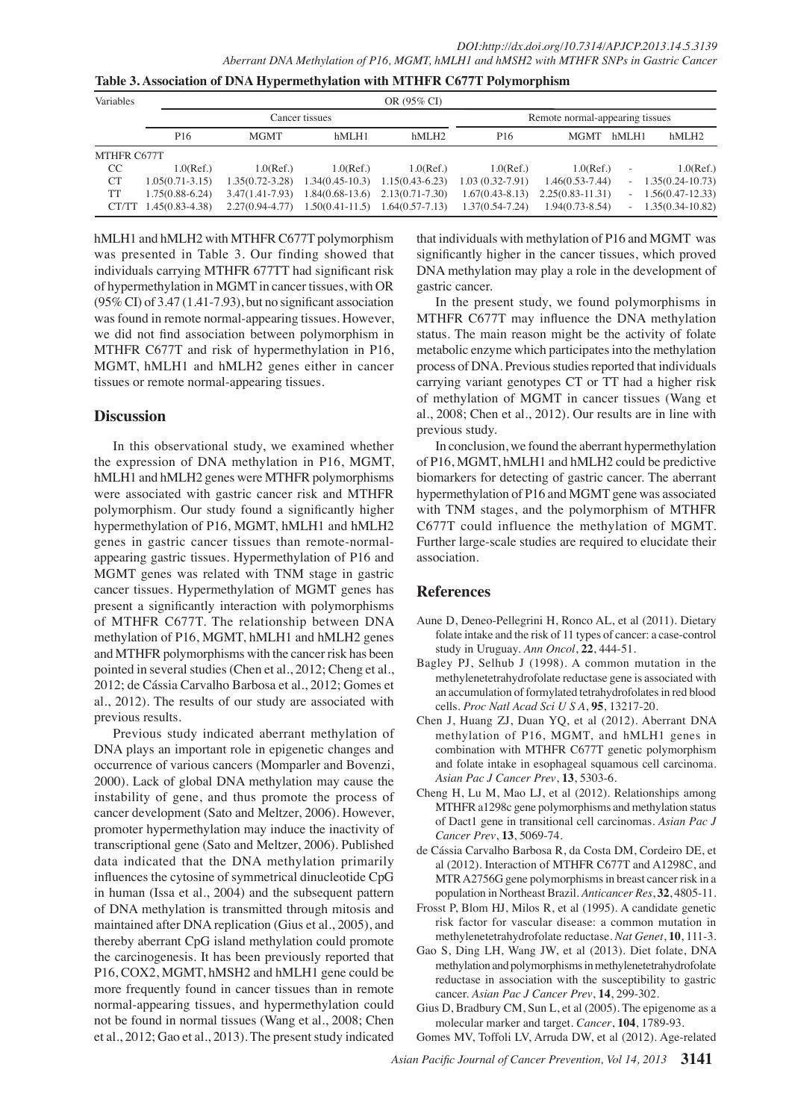| Variables     |                     | OR (95% CI)         |                                     |                                     |                                 |                      |                |                     |  |  |
|---------------|---------------------|---------------------|-------------------------------------|-------------------------------------|---------------------------------|----------------------|----------------|---------------------|--|--|
|               |                     |                     | Cancer tissues                      |                                     | Remote normal-appearing tissues |                      |                |                     |  |  |
|               | P <sub>16</sub>     | <b>MGMT</b>         | hMLH1                               | hMLH2                               | P <sub>16</sub>                 | <b>MGMT</b>          | hMLH1          | hMLH <sub>2</sub>   |  |  |
| MTHFR C677T   |                     |                     |                                     |                                     |                                 |                      |                |                     |  |  |
| <sub>CC</sub> | $1.0$ (Ref.)        | $1.0$ (Ref.)        | $1.0$ (Ref.)                        | $1.0$ (Ref.)                        | $1.0$ (Ref.)                    | $1.0$ (Ref.)         | $\overline{a}$ | $1.0$ (Ref.)        |  |  |
| <b>CT</b>     | $1.05(0.71 - 3.15)$ | $1.35(0.72 - 3.28)$ |                                     | $1.34(0.45-10.3)$ $1.15(0.43-6.23)$ | $1.03(0.32 - 7.91)$             | $1.46(0.53 - 7.44)$  |                | $-1.35(0.24-10.73)$ |  |  |
| TT            | $1.75(0.88 - 6.24)$ | $3.47(1.41 - 7.93)$ |                                     | $1.84(0.68-13.6)$ $2.13(0.71-7.30)$ | $1.67(0.43 - 8.13)$             | $2.25(0.83 - 11.31)$ |                | $-1.56(0.47-12.33)$ |  |  |
| CT/TT         | 45(0.83-4.38)       | $2.27(0.94 - 4.77)$ | $1.50(0.41-11.5)$ $1.64(0.57-7.13)$ |                                     | $1.37(0.54 - 7.24)$             | $1.94(0.73 - 8.54)$  |                | $-1.35(0.34-10.82)$ |  |  |

hMLH1 and hMLH2 with MTHFR C677T polymorphism was presented in Table 3. Our finding showed that individuals carrying MTHFR 677TT had significant risk of hypermethylation in MGMT in cancer tissues, with OR (95% CI) of 3.47 (1.41-7.93), but no significant association was found in remote normal-appearing tissues. However, we did not find association between polymorphism in MTHFR C677T and risk of hypermethylation in P16, MGMT, hMLH1 and hMLH2 genes either in cancer tissues or remote normal-appearing tissues.

## **Discussion**

In this observational study, we examined whether the expression of DNA methylation in P16, MGMT, hMLH1 and hMLH2 genes were MTHFR polymorphisms were associated with gastric cancer risk and MTHFR polymorphism. Our study found a significantly higher hypermethylation of P16, MGMT, hMLH1 and hMLH2 genes in gastric cancer tissues than remote-normalappearing gastric tissues. Hypermethylation of P16 and MGMT genes was related with TNM stage in gastric cancer tissues. Hypermethylation of MGMT genes has present a significantly interaction with polymorphisms of MTHFR C677T. The relationship between DNA methylation of P16, MGMT, hMLH1 and hMLH2 genes and MTHFR polymorphisms with the cancer risk has been pointed in several studies (Chen et al., 2012; Cheng et al., 2012; de Cássia Carvalho Barbosa et al., 2012; Gomes et al., 2012). The results of our study are associated with previous results.

Previous study indicated aberrant methylation of DNA plays an important role in epigenetic changes and occurrence of various cancers (Momparler and Bovenzi, 2000). Lack of global DNA methylation may cause the instability of gene, and thus promote the process of cancer development (Sato and Meltzer, 2006). However, promoter hypermethylation may induce the inactivity of transcriptional gene (Sato and Meltzer, 2006). Published data indicated that the DNA methylation primarily influences the cytosine of symmetrical dinucleotide CpG in human (Issa et al., 2004) and the subsequent pattern of DNA methylation is transmitted through mitosis and maintained after DNA replication (Gius et al., 2005), and thereby aberrant CpG island methylation could promote the carcinogenesis. It has been previously reported that P16, COX2, MGMT, hMSH2 and hMLH1 gene could be more frequently found in cancer tissues than in remote normal-appearing tissues, and hypermethylation could not be found in normal tissues (Wang et al., 2008; Chen et al., 2012; Gao et al., 2013). The present study indicated

that individuals with methylation of P16 and MGMT waboo.0 significantly higher in the cancer tissues, which proved DNA methylation may play a role in the development of gastric cancer.

of methylation of MGMT in cancer tissues (Wang et 25.0 metabolic enzyme which participates into the methylation 50.0 In the present study, we found polymorphisms in<sup>75.0</sup> MTHFR C677T may influence the DNA methylation status. The main reason might be the activity of folate process of DNA. Previous studies reported that individuals carrying variant genotypes CT or TT had a higher risk al., 2008; Chen et al., 2012). Our results are in line with previous study.

In conclusion, we found the aberrant hypermethylation of P16, MGMT, hMLH1 and hMLH2 could be predictive biomarkers for detecting of gastric cancer. The aberrant hypermethylation of P16 and MGMT gene was associated with TNM stages, and the polymorphism of MTHFR C677T could influence the methylation of MGMT. Further large-scale studies are required to elucidate their association.

## **References**

- Aune D, Deneo-Pellegrini H, Ronco AL, et al (2011). Dietary folate intake and the risk of 11 types of cancer: a case-control study in Uruguay. *Ann Oncol*, **22**, 444-51.
- Bagley PJ, Selhub J (1998). A common mutation in the methylenetetrahydrofolate reductase gene is associated with an accumulation of formylated tetrahydrofolates in red blood cells. *Proc Natl Acad Sci U S A*, **95**, 13217-20.
- Chen J, Huang ZJ, Duan YQ, et al (2012). Aberrant DNA methylation of P16, MGMT, and hMLH1 genes in combination with MTHFR C677T genetic polymorphism and folate intake in esophageal squamous cell carcinoma. *Asian Pac J Cancer Prev*, **13**, 5303-6.
- Cheng H, Lu M, Mao LJ, et al (2012). Relationships among MTHFR a1298c gene polymorphisms and methylation status of Dact1 gene in transitional cell carcinomas. *Asian Pac J Cancer Prev*, **13**, 5069-74.
- de Cássia Carvalho Barbosa R, da Costa DM, Cordeiro DE, et al (2012). Interaction of MTHFR C677T and A1298C, and MTR A2756G gene polymorphisms in breast cancer risk in a population in Northeast Brazil. *Anticancer Res*, **32**, 4805-11.
- Frosst P, Blom HJ, Milos R, et al (1995). A candidate genetic risk factor for vascular disease: a common mutation in methylenetetrahydrofolate reductase. *Nat Genet*, **10**, 111-3.
- Gao S, Ding LH, Wang JW, et al (2013). Diet folate, DNA methylation and polymorphisms in methylenetetrahydrofolate reductase in association with the susceptibility to gastric cancer. *Asian Pac J Cancer Prev*, **14**, 299-302.
- Gius D, Bradbury CM, Sun L, et al (2005). The epigenome as a molecular marker and target. *Cancer*, **104**, 1789-93.
- Gomes MV, Toffoli LV, Arruda DW, et al (2012). Age-related

*Asian Pacific Journal of Cancer Prevention, Vol 14, 2013* **3141**

**46.8 56.3**

**20.3 6.3 10.1**

0